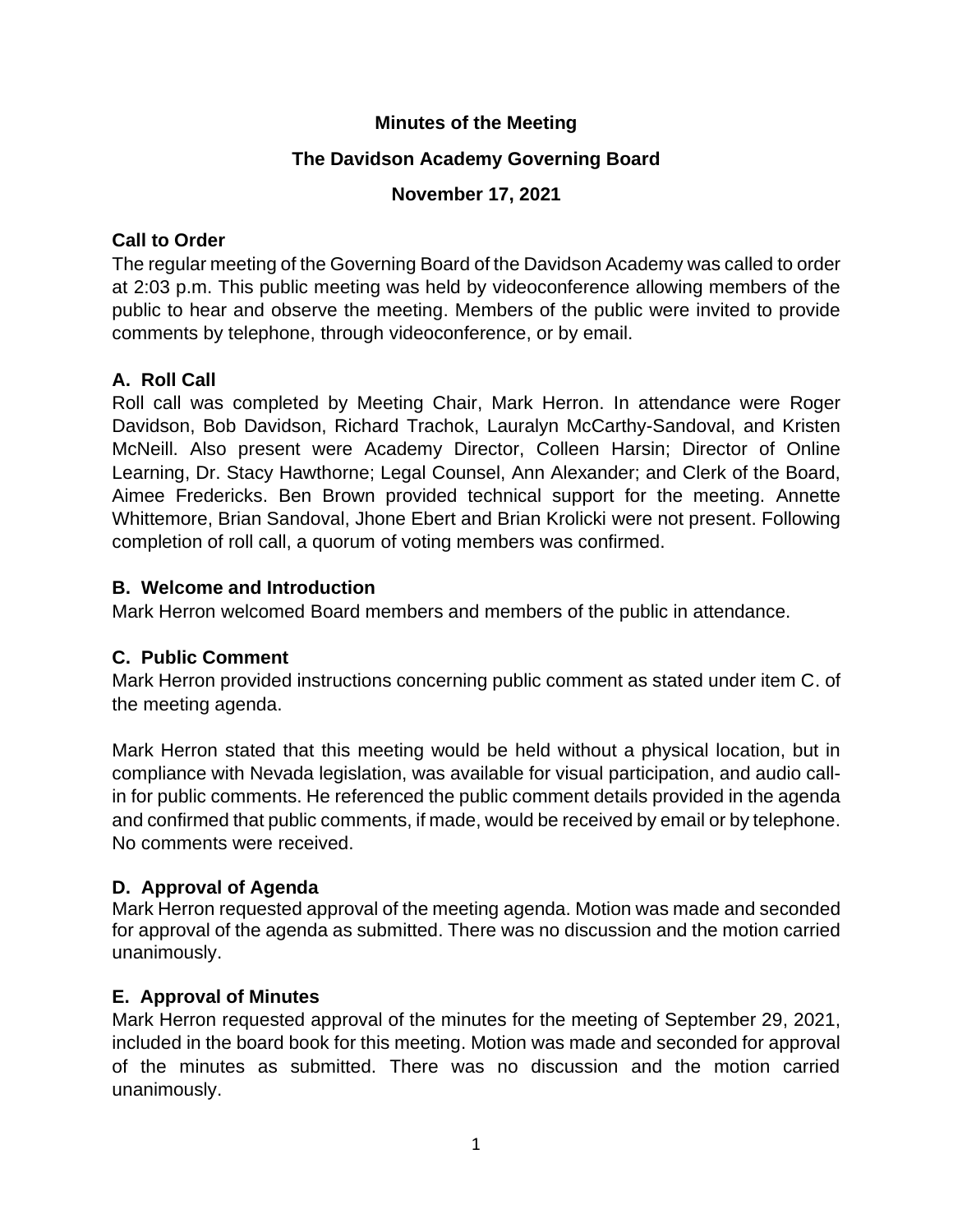#### **Minutes of the Meeting**

## **The Davidson Academy Governing Board**

## **November 17, 2021**

## **Call to Order**

The regular meeting of the Governing Board of the Davidson Academy was called to order at 2:03 p.m. This public meeting was held by videoconference allowing members of the public to hear and observe the meeting. Members of the public were invited to provide comments by telephone, through videoconference, or by email.

# **A. Roll Call**

Roll call was completed by Meeting Chair, Mark Herron. In attendance were Roger Davidson, Bob Davidson, Richard Trachok, Lauralyn McCarthy-Sandoval, and Kristen McNeill. Also present were Academy Director, Colleen Harsin; Director of Online Learning, Dr. Stacy Hawthorne; Legal Counsel, Ann Alexander; and Clerk of the Board, Aimee Fredericks. Ben Brown provided technical support for the meeting. Annette Whittemore, Brian Sandoval, Jhone Ebert and Brian Krolicki were not present. Following completion of roll call, a quorum of voting members was confirmed.

## **B. Welcome and Introduction**

Mark Herron welcomed Board members and members of the public in attendance.

# **C. Public Comment**

Mark Herron provided instructions concerning public comment as stated under item C. of the meeting agenda.

Mark Herron stated that this meeting would be held without a physical location, but in compliance with Nevada legislation, was available for visual participation, and audio callin for public comments. He referenced the public comment details provided in the agenda and confirmed that public comments, if made, would be received by email or by telephone. No comments were received.

# **D. Approval of Agenda**

Mark Herron requested approval of the meeting agenda. Motion was made and seconded for approval of the agenda as submitted. There was no discussion and the motion carried unanimously.

# **E. Approval of Minutes**

Mark Herron requested approval of the minutes for the meeting of September 29, 2021, included in the board book for this meeting. Motion was made and seconded for approval of the minutes as submitted. There was no discussion and the motion carried unanimously.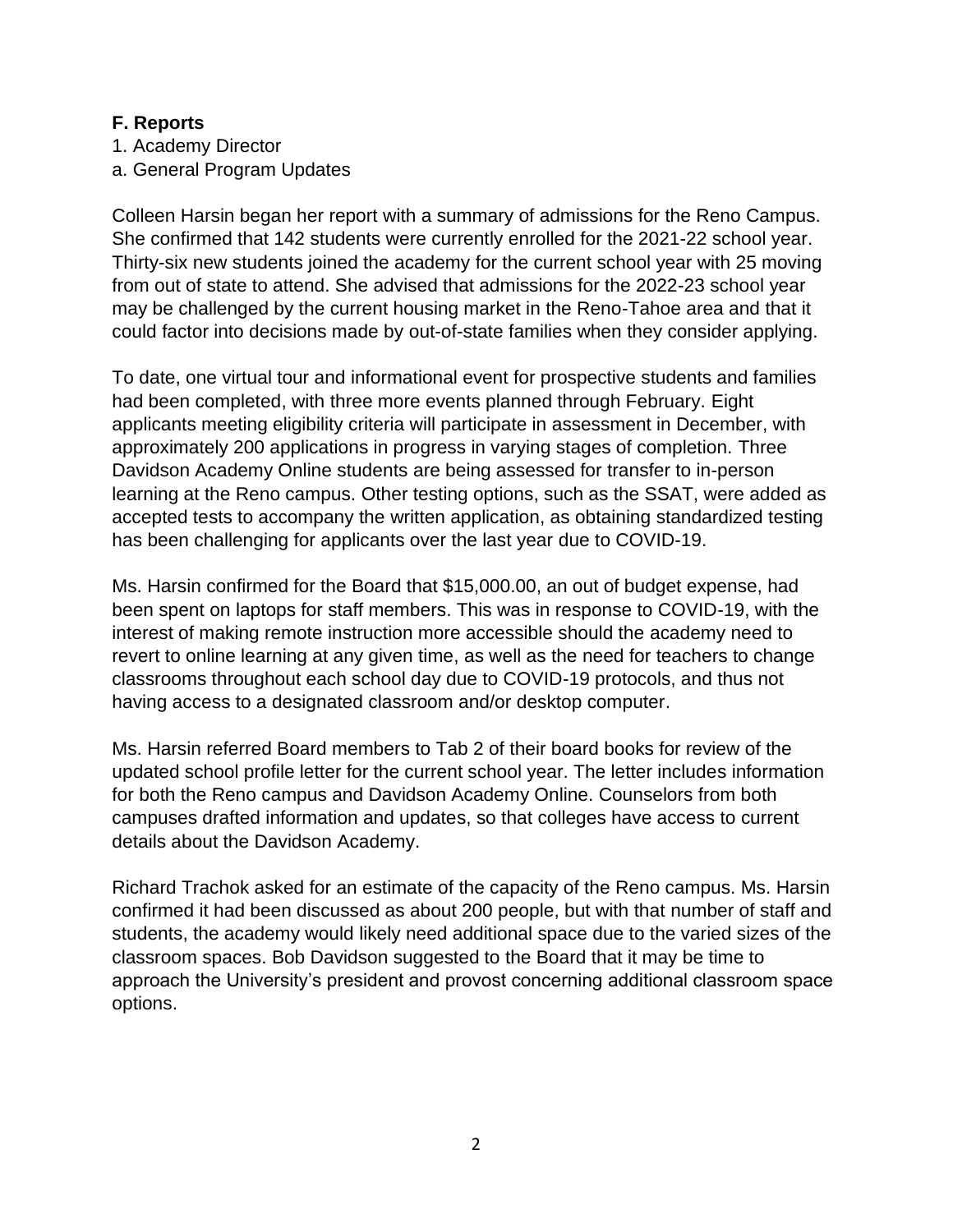#### **F. Reports**

1. Academy Director

a. General Program Updates

Colleen Harsin began her report with a summary of admissions for the Reno Campus. She confirmed that 142 students were currently enrolled for the 2021-22 school year. Thirty-six new students joined the academy for the current school year with 25 moving from out of state to attend. She advised that admissions for the 2022-23 school year may be challenged by the current housing market in the Reno-Tahoe area and that it could factor into decisions made by out-of-state families when they consider applying.

To date, one virtual tour and informational event for prospective students and families had been completed, with three more events planned through February. Eight applicants meeting eligibility criteria will participate in assessment in December, with approximately 200 applications in progress in varying stages of completion. Three Davidson Academy Online students are being assessed for transfer to in-person learning at the Reno campus. Other testing options, such as the SSAT, were added as accepted tests to accompany the written application, as obtaining standardized testing has been challenging for applicants over the last year due to COVID-19.

Ms. Harsin confirmed for the Board that \$15,000.00, an out of budget expense, had been spent on laptops for staff members. This was in response to COVID-19, with the interest of making remote instruction more accessible should the academy need to revert to online learning at any given time, as well as the need for teachers to change classrooms throughout each school day due to COVID-19 protocols, and thus not having access to a designated classroom and/or desktop computer.

Ms. Harsin referred Board members to Tab 2 of their board books for review of the updated school profile letter for the current school year. The letter includes information for both the Reno campus and Davidson Academy Online. Counselors from both campuses drafted information and updates, so that colleges have access to current details about the Davidson Academy.

Richard Trachok asked for an estimate of the capacity of the Reno campus. Ms. Harsin confirmed it had been discussed as about 200 people, but with that number of staff and students, the academy would likely need additional space due to the varied sizes of the classroom spaces. Bob Davidson suggested to the Board that it may be time to approach the University's president and provost concerning additional classroom space options.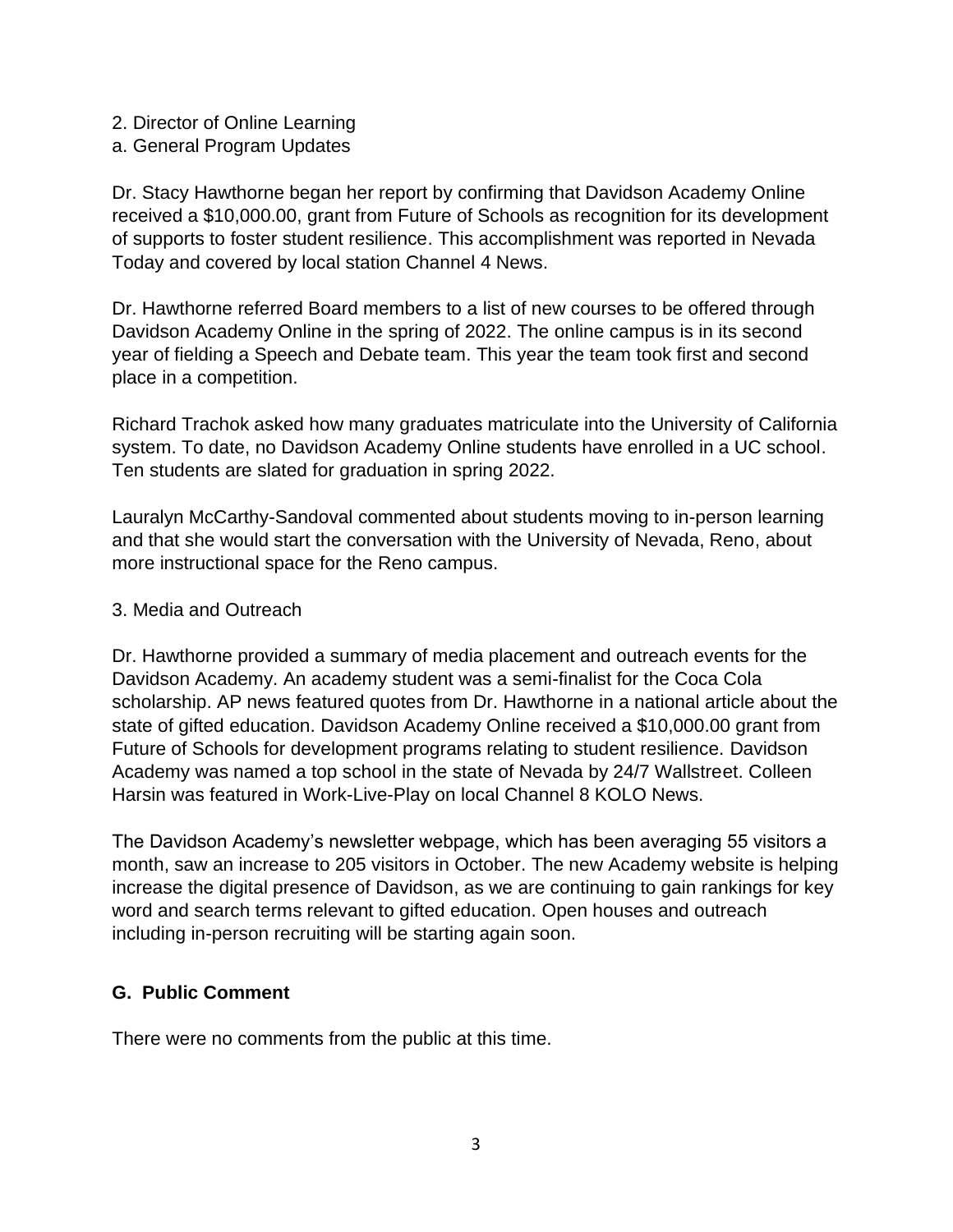- 2. Director of Online Learning
- a. General Program Updates

Dr. Stacy Hawthorne began her report by confirming that Davidson Academy Online received a \$10,000.00, grant from Future of Schools as recognition for its development of supports to foster student resilience. This accomplishment was reported in Nevada Today and covered by local station Channel 4 News.

Dr. Hawthorne referred Board members to a list of new courses to be offered through Davidson Academy Online in the spring of 2022. The online campus is in its second year of fielding a Speech and Debate team. This year the team took first and second place in a competition.

Richard Trachok asked how many graduates matriculate into the University of California system. To date, no Davidson Academy Online students have enrolled in a UC school. Ten students are slated for graduation in spring 2022.

Lauralyn McCarthy-Sandoval commented about students moving to in-person learning and that she would start the conversation with the University of Nevada, Reno, about more instructional space for the Reno campus.

#### 3. Media and Outreach

Dr. Hawthorne provided a summary of media placement and outreach events for the Davidson Academy. An academy student was a semi-finalist for the Coca Cola scholarship. AP news featured quotes from Dr. Hawthorne in a national article about the state of gifted education. Davidson Academy Online received a \$10,000.00 grant from Future of Schools for development programs relating to student resilience. Davidson Academy was named a top school in the state of Nevada by 24/7 Wallstreet. Colleen Harsin was featured in Work-Live-Play on local Channel 8 KOLO News.

The Davidson Academy's newsletter webpage, which has been averaging 55 visitors a month, saw an increase to 205 visitors in October. The new Academy website is helping increase the digital presence of Davidson, as we are continuing to gain rankings for key word and search terms relevant to gifted education. Open houses and outreach including in-person recruiting will be starting again soon.

#### **G. Public Comment**

There were no comments from the public at this time.